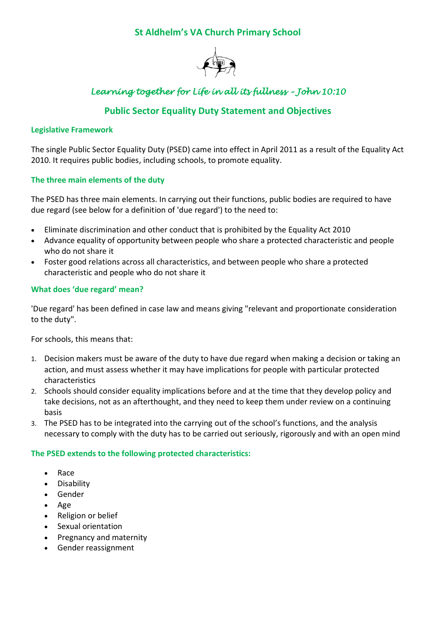# **St Aldhelm's VA Church Primary School**



# *Learning together for Life in all its fullness – John 10:10*

# **Public Sector Equality Duty Statement and Objectives**

#### **Legislative Framework**

The single Public Sector Equality Duty (PSED) came into effect in April 2011 as a result of the Equality Act 2010. It requires public bodies, including schools, to promote equality.

### **The three main elements of the duty**

The PSED has three main elements. In carrying out their functions, public bodies are required to have due regard (see below for a definition of 'due regard') to the need to:

- Eliminate discrimination and other conduct that is prohibited by the Equality Act 2010
- Advance equality of opportunity between people who share a protected characteristic and people who do not share it
- Foster good relations across all characteristics, and between people who share a protected characteristic and people who do not share it

#### **What does 'due regard' mean?**

'Due regard' has been defined in case law and means giving "relevant and proportionate consideration to the duty".

For schools, this means that:

- 1. Decision makers must be aware of the duty to have due regard when making a decision or taking an action, and must assess whether it may have implications for people with particular protected characteristics
- 2. Schools should consider equality implications before and at the time that they develop policy and take decisions, not as an afterthought, and they need to keep them under review on a continuing basis
- 3. The PSED has to be integrated into the carrying out of the school's functions, and the analysis necessary to comply with the duty has to be carried out seriously, rigorously and with an open mind

#### **The PSED extends to the following protected characteristics:**

- Race
- **•** Disability
- Gender
- Age
- Religion or belief
- Sexual orientation
- Pregnancy and maternity
- Gender reassignment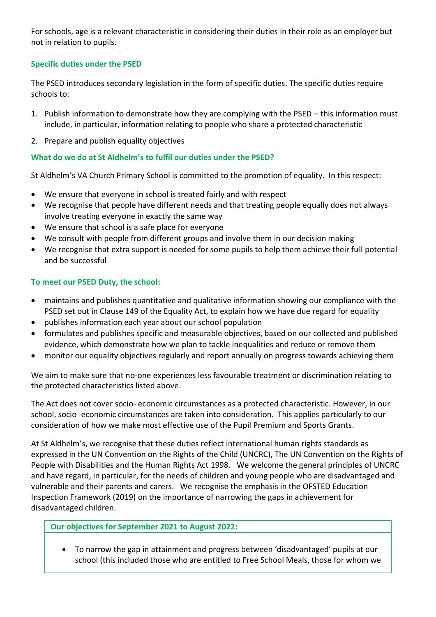For schools, age is a relevant characteristic in considering their duties in their role as an employer but not in relation to pupils.

# **Specific duties under the PSED**

The PSED introduces secondary legislation in the form of specific duties. The specific duties require schools to:

- 1. Publish information to demonstrate how they are complying with the PSED this information must include, in particular, information relating to people who share a protected characteristic
- 2. Prepare and publish equality objectives

# **What do we do at St Aldhelm's to fulfil our duties under the PSED?**

St Aldhelm's VA Church Primary School is committed to the promotion of equality. In this respect:

- We ensure that everyone in school is treated fairly and with respect
- We recognise that people have different needs and that treating people equally does not always involve treating everyone in exactly the same way
- We ensure that school is a safe place for everyone
- We consult with people from different groups and involve them in our decision making
- We recognise that extra support is needed for some pupils to help them achieve their full potential and be successful

### **To meet our PSED Duty, the school:**

- maintains and publishes quantitative and qualitative information showing our compliance with the PSED set out in Clause 149 of the Equality Act, to explain how we have due regard for equality
- publishes information each year about our school population
- formulates and publishes specific and measurable objectives, based on our collected and published evidence, which demonstrate how we plan to tackle inequalities and reduce or remove them
- monitor our equality objectives regularly and report annually on progress towards achieving them

We aim to make sure that no-one experiences less favourable treatment or discrimination relating to the protected characteristics listed above.

The Act does not cover socio‐ economic circumstances as a protected characteristic. However, in our school, socio -economic circumstances are taken into consideration. This applies particularly to our consideration of how we make most effective use of the Pupil Premium and Sports Grants.

At St Aldhelm's, we recognise that these duties reflect international human rights standards as expressed in the UN Convention on the Rights of the Child (UNCRC), The UN Convention on the Rights of People with Disabilities and the Human Rights Act 1998. We welcome the general principles of UNCRC and have regard, in particular, for the needs of children and young people who are disadvantaged and vulnerable and their parents and carers. We recognise the emphasis in the OFSTED Education Inspection Framework (2019) on the importance of narrowing the gaps in achievement for disadvantaged children.

**Our objectives for September 2021 to August 2022:** 

 To narrow the gap in attainment and progress between 'disadvantaged' pupils at our school (this included those who are entitled to Free School Meals, those for whom we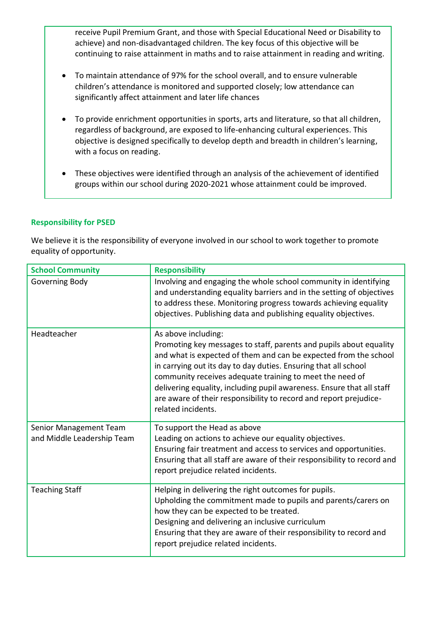receive Pupil Premium Grant, and those with Special Educational Need or Disability to achieve) and non-disadvantaged children. The key focus of this objective will be continuing to raise attainment in maths and to raise attainment in reading and writing.

- To maintain attendance of 97% for the school overall, and to ensure vulnerable children's attendance is monitored and supported closely; low attendance can significantly affect attainment and later life chances
- To provide enrichment opportunities in sports, arts and literature, so that all children, regardless of background, are exposed to life-enhancing cultural experiences. This objective is designed specifically to develop depth and breadth in children's learning, with a focus on reading.
- These objectives were identified through an analysis of the achievement of identified groups within our school during 2020-2021 whose attainment could be improved.

#### **Responsibility for PSED**

We believe it is the responsibility of everyone involved in our school to work together to promote equality of opportunity.

| <b>School Community</b>                              | <b>Responsibility</b>                                                                                                                                                                                                                                                                                                                                                                                                                                            |
|------------------------------------------------------|------------------------------------------------------------------------------------------------------------------------------------------------------------------------------------------------------------------------------------------------------------------------------------------------------------------------------------------------------------------------------------------------------------------------------------------------------------------|
| Governing Body                                       | Involving and engaging the whole school community in identifying<br>and understanding equality barriers and in the setting of objectives<br>to address these. Monitoring progress towards achieving equality<br>objectives. Publishing data and publishing equality objectives.                                                                                                                                                                                  |
| Headteacher                                          | As above including:<br>Promoting key messages to staff, parents and pupils about equality<br>and what is expected of them and can be expected from the school<br>in carrying out its day to day duties. Ensuring that all school<br>community receives adequate training to meet the need of<br>delivering equality, including pupil awareness. Ensure that all staff<br>are aware of their responsibility to record and report prejudice-<br>related incidents. |
| Senior Management Team<br>and Middle Leadership Team | To support the Head as above<br>Leading on actions to achieve our equality objectives.<br>Ensuring fair treatment and access to services and opportunities.<br>Ensuring that all staff are aware of their responsibility to record and<br>report prejudice related incidents.                                                                                                                                                                                    |
| <b>Teaching Staff</b>                                | Helping in delivering the right outcomes for pupils.<br>Upholding the commitment made to pupils and parents/carers on<br>how they can be expected to be treated.<br>Designing and delivering an inclusive curriculum<br>Ensuring that they are aware of their responsibility to record and<br>report prejudice related incidents.                                                                                                                                |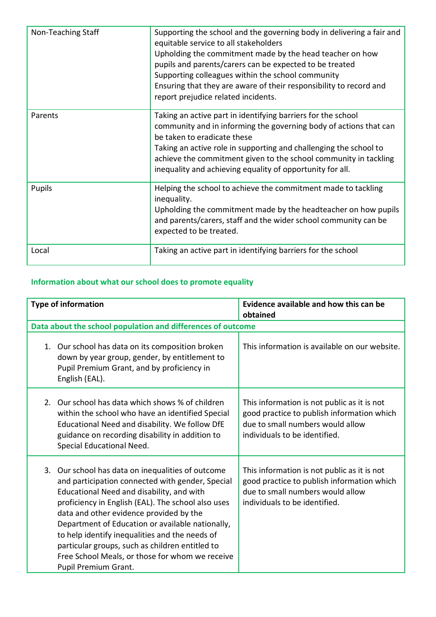| Non-Teaching Staff | Supporting the school and the governing body in delivering a fair and<br>equitable service to all stakeholders<br>Upholding the commitment made by the head teacher on how<br>pupils and parents/carers can be expected to be treated<br>Supporting colleagues within the school community<br>Ensuring that they are aware of their responsibility to record and<br>report prejudice related incidents. |
|--------------------|---------------------------------------------------------------------------------------------------------------------------------------------------------------------------------------------------------------------------------------------------------------------------------------------------------------------------------------------------------------------------------------------------------|
| Parents            | Taking an active part in identifying barriers for the school<br>community and in informing the governing body of actions that can<br>be taken to eradicate these<br>Taking an active role in supporting and challenging the school to<br>achieve the commitment given to the school community in tackling<br>inequality and achieving equality of opportunity for all.                                  |
| Pupils             | Helping the school to achieve the commitment made to tackling<br>inequality.<br>Upholding the commitment made by the headteacher on how pupils<br>and parents/carers, staff and the wider school community can be<br>expected to be treated.                                                                                                                                                            |
| Local              | Taking an active part in identifying barriers for the school                                                                                                                                                                                                                                                                                                                                            |

# **Information about what our school does to promote equality**

| <b>Type of information</b>                                                                                                                                                                                                                                                                                                                                                                                                                                                              | Evidence available and how this can be<br>obtained                                                                                                             |  |  |
|-----------------------------------------------------------------------------------------------------------------------------------------------------------------------------------------------------------------------------------------------------------------------------------------------------------------------------------------------------------------------------------------------------------------------------------------------------------------------------------------|----------------------------------------------------------------------------------------------------------------------------------------------------------------|--|--|
| Data about the school population and differences of outcome                                                                                                                                                                                                                                                                                                                                                                                                                             |                                                                                                                                                                |  |  |
| 1. Our school has data on its composition broken<br>down by year group, gender, by entitlement to<br>Pupil Premium Grant, and by proficiency in<br>English (EAL).                                                                                                                                                                                                                                                                                                                       | This information is available on our website.                                                                                                                  |  |  |
| Our school has data which shows % of children<br>2.<br>within the school who have an identified Special<br>Educational Need and disability. We follow DfE<br>guidance on recording disability in addition to<br>Special Educational Need.                                                                                                                                                                                                                                               | This information is not public as it is not<br>good practice to publish information which<br>due to small numbers would allow<br>individuals to be identified. |  |  |
| 3. Our school has data on inequalities of outcome<br>and participation connected with gender, Special<br>Educational Need and disability, and with<br>proficiency in English (EAL). The school also uses<br>data and other evidence provided by the<br>Department of Education or available nationally,<br>to help identify inequalities and the needs of<br>particular groups, such as children entitled to<br>Free School Meals, or those for whom we receive<br>Pupil Premium Grant. | This information is not public as it is not<br>good practice to publish information which<br>due to small numbers would allow<br>individuals to be identified. |  |  |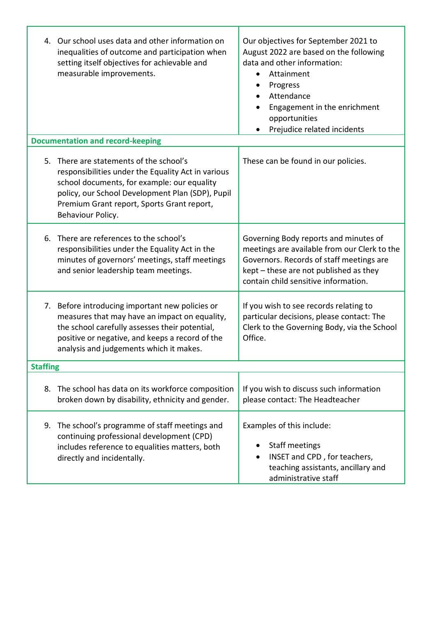|                 | 4. Our school uses data and other information on<br>inequalities of outcome and participation when<br>setting itself objectives for achievable and<br>measurable improvements.                                                                                      | Our objectives for September 2021 to<br>August 2022 are based on the following<br>data and other information:<br>Attainment<br>$\bullet$<br>Progress<br>Attendance<br>$\bullet$<br>Engagement in the enrichment<br>opportunities<br>Prejudice related incidents |  |
|-----------------|---------------------------------------------------------------------------------------------------------------------------------------------------------------------------------------------------------------------------------------------------------------------|-----------------------------------------------------------------------------------------------------------------------------------------------------------------------------------------------------------------------------------------------------------------|--|
|                 | <b>Documentation and record-keeping</b>                                                                                                                                                                                                                             |                                                                                                                                                                                                                                                                 |  |
|                 | 5. There are statements of the school's<br>responsibilities under the Equality Act in various<br>school documents, for example: our equality<br>policy, our School Development Plan (SDP), Pupil<br>Premium Grant report, Sports Grant report,<br>Behaviour Policy. | These can be found in our policies.                                                                                                                                                                                                                             |  |
|                 | 6. There are references to the school's<br>responsibilities under the Equality Act in the<br>minutes of governors' meetings, staff meetings<br>and senior leadership team meetings.                                                                                 | Governing Body reports and minutes of<br>meetings are available from our Clerk to the<br>Governors. Records of staff meetings are<br>kept - these are not published as they<br>contain child sensitive information.                                             |  |
|                 | 7. Before introducing important new policies or<br>measures that may have an impact on equality,<br>the school carefully assesses their potential,<br>positive or negative, and keeps a record of the<br>analysis and judgements which it makes.                    | If you wish to see records relating to<br>particular decisions, please contact: The<br>Clerk to the Governing Body, via the School<br>Office.                                                                                                                   |  |
| <b>Staffing</b> |                                                                                                                                                                                                                                                                     |                                                                                                                                                                                                                                                                 |  |
|                 | 8. The school has data on its workforce composition<br>broken down by disability, ethnicity and gender.                                                                                                                                                             | If you wish to discuss such information<br>please contact: The Headteacher                                                                                                                                                                                      |  |
| 9.              | The school's programme of staff meetings and<br>continuing professional development (CPD)<br>includes reference to equalities matters, both<br>directly and incidentally.                                                                                           | Examples of this include:<br>Staff meetings<br>INSET and CPD, for teachers,<br>teaching assistants, ancillary and<br>administrative staff                                                                                                                       |  |

ľ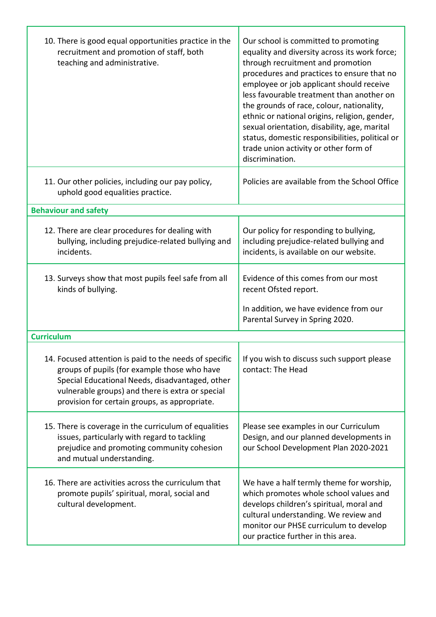| 10. There is good equal opportunities practice in the<br>recruitment and promotion of staff, both<br>teaching and administrative.                                                                                                                              | Our school is committed to promoting<br>equality and diversity across its work force;<br>through recruitment and promotion<br>procedures and practices to ensure that no<br>employee or job applicant should receive<br>less favourable treatment than another on<br>the grounds of race, colour, nationality,<br>ethnic or national origins, religion, gender,<br>sexual orientation, disability, age, marital<br>status, domestic responsibilities, political or<br>trade union activity or other form of<br>discrimination. |
|----------------------------------------------------------------------------------------------------------------------------------------------------------------------------------------------------------------------------------------------------------------|--------------------------------------------------------------------------------------------------------------------------------------------------------------------------------------------------------------------------------------------------------------------------------------------------------------------------------------------------------------------------------------------------------------------------------------------------------------------------------------------------------------------------------|
| 11. Our other policies, including our pay policy,<br>uphold good equalities practice.                                                                                                                                                                          | Policies are available from the School Office                                                                                                                                                                                                                                                                                                                                                                                                                                                                                  |
| <b>Behaviour and safety</b>                                                                                                                                                                                                                                    |                                                                                                                                                                                                                                                                                                                                                                                                                                                                                                                                |
| 12. There are clear procedures for dealing with<br>bullying, including prejudice-related bullying and<br>incidents.                                                                                                                                            | Our policy for responding to bullying,<br>including prejudice-related bullying and<br>incidents, is available on our website.                                                                                                                                                                                                                                                                                                                                                                                                  |
| 13. Surveys show that most pupils feel safe from all<br>kinds of bullying.                                                                                                                                                                                     | Evidence of this comes from our most<br>recent Ofsted report.                                                                                                                                                                                                                                                                                                                                                                                                                                                                  |
|                                                                                                                                                                                                                                                                | In addition, we have evidence from our<br>Parental Survey in Spring 2020.                                                                                                                                                                                                                                                                                                                                                                                                                                                      |
| <b>Curriculum</b>                                                                                                                                                                                                                                              |                                                                                                                                                                                                                                                                                                                                                                                                                                                                                                                                |
| 14. Focused attention is paid to the needs of specific<br>groups of pupils (for example those who have<br>Special Educational Needs, disadvantaged, other<br>vulnerable groups) and there is extra or special<br>provision for certain groups, as appropriate. | If you wish to discuss such support please<br>contact: The Head                                                                                                                                                                                                                                                                                                                                                                                                                                                                |
| 15. There is coverage in the curriculum of equalities<br>issues, particularly with regard to tackling<br>prejudice and promoting community cohesion<br>and mutual understanding.                                                                               | Please see examples in our Curriculum<br>Design, and our planned developments in<br>our School Development Plan 2020-2021                                                                                                                                                                                                                                                                                                                                                                                                      |
| 16. There are activities across the curriculum that<br>promote pupils' spiritual, moral, social and<br>cultural development.                                                                                                                                   | We have a half termly theme for worship,<br>which promotes whole school values and<br>develops children's spiritual, moral and<br>cultural understanding. We review and<br>monitor our PHSE curriculum to develop<br>our practice further in this area.                                                                                                                                                                                                                                                                        |

Τ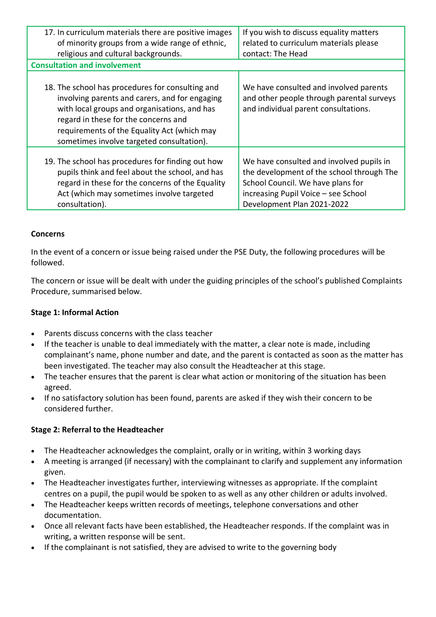| 17. In curriculum materials there are positive images<br>of minority groups from a wide range of ethnic,                                                                                                                                                                               | If you wish to discuss equality matters<br>related to curriculum materials please                                                                                                               |
|----------------------------------------------------------------------------------------------------------------------------------------------------------------------------------------------------------------------------------------------------------------------------------------|-------------------------------------------------------------------------------------------------------------------------------------------------------------------------------------------------|
| religious and cultural backgrounds.                                                                                                                                                                                                                                                    | contact: The Head                                                                                                                                                                               |
| <b>Consultation and involvement</b>                                                                                                                                                                                                                                                    |                                                                                                                                                                                                 |
| 18. The school has procedures for consulting and<br>involving parents and carers, and for engaging<br>with local groups and organisations, and has<br>regard in these for the concerns and<br>requirements of the Equality Act (which may<br>sometimes involve targeted consultation). | We have consulted and involved parents<br>and other people through parental surveys<br>and individual parent consultations.                                                                     |
| 19. The school has procedures for finding out how<br>pupils think and feel about the school, and has<br>regard in these for the concerns of the Equality<br>Act (which may sometimes involve targeted<br>consultation).                                                                | We have consulted and involved pupils in<br>the development of the school through The<br>School Council. We have plans for<br>increasing Pupil Voice - see School<br>Development Plan 2021-2022 |

### **Concerns**

In the event of a concern or issue being raised under the PSE Duty, the following procedures will be followed.

The concern or issue will be dealt with under the guiding principles of the school's published Complaints Procedure, summarised below.

#### **Stage 1: Informal Action**

- Parents discuss concerns with the class teacher
- If the teacher is unable to deal immediately with the matter, a clear note is made, including complainant's name, phone number and date, and the parent is contacted as soon as the matter has been investigated. The teacher may also consult the Headteacher at this stage.
- The teacher ensures that the parent is clear what action or monitoring of the situation has been agreed.
- If no satisfactory solution has been found, parents are asked if they wish their concern to be considered further.

### **Stage 2: Referral to the Headteacher**

- The Headteacher acknowledges the complaint, orally or in writing, within 3 working days
- A meeting is arranged (if necessary) with the complainant to clarify and supplement any information given.
- The Headteacher investigates further, interviewing witnesses as appropriate. If the complaint centres on a pupil, the pupil would be spoken to as well as any other children or adults involved.
- The Headteacher keeps written records of meetings, telephone conversations and other documentation.
- Once all relevant facts have been established, the Headteacher responds. If the complaint was in writing, a written response will be sent.
- If the complainant is not satisfied, they are advised to write to the governing body